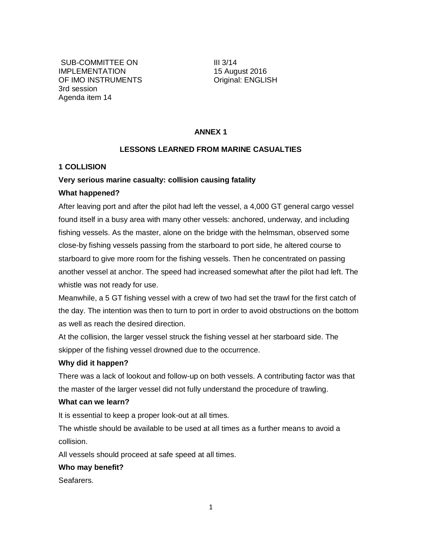SUB-COMMITTEE ON IMPLEMENTATION OF IMO INSTRUMENTS 3rd session Agenda item 14

III 3/14 15 August 2016 Original: ENGLISH

## **ANNEX 1**

### **LESSONS LEARNED FROM MARINE CASUALTIES**

### **1 COLLISION**

## **Very serious marine casualty: collision causing fatality**

## **What happened?**

After leaving port and after the pilot had left the vessel, a 4,000 GT general cargo vessel found itself in a busy area with many other vessels: anchored, underway, and including fishing vessels. As the master, alone on the bridge with the helmsman, observed some close-by fishing vessels passing from the starboard to port side, he altered course to starboard to give more room for the fishing vessels. Then he concentrated on passing another vessel at anchor. The speed had increased somewhat after the pilot had left. The whistle was not ready for use.

Meanwhile, a 5 GT fishing vessel with a crew of two had set the trawl for the first catch of the day. The intention was then to turn to port in order to avoid obstructions on the bottom as well as reach the desired direction.

At the collision, the larger vessel struck the fishing vessel at her starboard side. The skipper of the fishing vessel drowned due to the occurrence.

### **Why did it happen?**

There was a lack of lookout and follow-up on both vessels. A contributing factor was that the master of the larger vessel did not fully understand the procedure of trawling.

### **What can we learn?**

It is essential to keep a proper look-out at all times.

The whistle should be available to be used at all times as a further means to avoid a collision.

All vessels should proceed at safe speed at all times.

### **Who may benefit?**

Seafarers.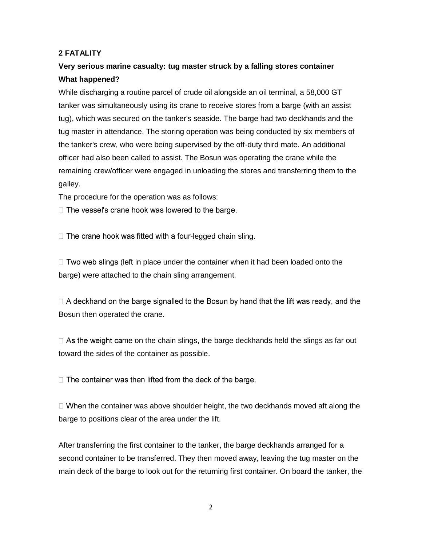# **2 FATALITY**

# **Very serious marine casualty: tug master struck by a falling stores container What happened?**

While discharging a routine parcel of crude oil alongside an oil terminal, a 58,000 GT tanker was simultaneously using its crane to receive stores from a barge (with an assist tug), which was secured on the tanker's seaside. The barge had two deckhands and the tug master in attendance. The storing operation was being conducted by six members of the tanker's crew, who were being supervised by the off-duty third mate. An additional officer had also been called to assist. The Bosun was operating the crane while the remaining crew/officer were engaged in unloading the stores and transferring them to the galley.

The procedure for the operation was as follows:

 $\Box$  The vessel's crane hook was lowered to the barge.

 $\Box$  The crane hook was fitted with a four-legged chain sling.

 $\Box$  Two web slings (left in place under the container when it had been loaded onto the barge) were attached to the chain sling arrangement.

 $\Box$  A deckhand on the barge signalled to the Bosun by hand that the lift was ready, and the Bosun then operated the crane.

 $\Box$  As the weight came on the chain slings, the barge deckhands held the slings as far out toward the sides of the container as possible.

 $\Box$  The container was then lifted from the deck of the barge.

 $\Box$  When the container was above shoulder height, the two deckhands moved aft along the barge to positions clear of the area under the lift.

After transferring the first container to the tanker, the barge deckhands arranged for a second container to be transferred. They then moved away, leaving the tug master on the main deck of the barge to look out for the returning first container. On board the tanker, the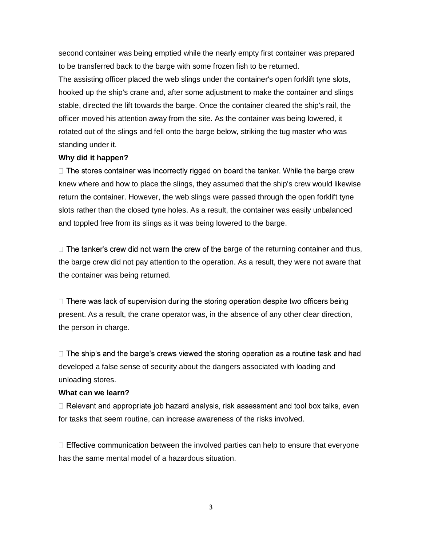second container was being emptied while the nearly empty first container was prepared to be transferred back to the barge with some frozen fish to be returned.

The assisting officer placed the web slings under the container's open forklift tyne slots, hooked up the ship's crane and, after some adjustment to make the container and slings stable, directed the lift towards the barge. Once the container cleared the ship's rail, the officer moved his attention away from the site. As the container was being lowered, it rotated out of the slings and fell onto the barge below, striking the tug master who was standing under it.

# **Why did it happen?**

 $\Box$  The stores container was incorrectly rigged on board the tanker. While the barge crew knew where and how to place the slings, they assumed that the ship's crew would likewise return the container. However, the web slings were passed through the open forklift tyne slots rather than the closed tyne holes. As a result, the container was easily unbalanced and toppled free from its slings as it was being lowered to the barge.

 $\Box$  The tanker's crew did not warn the crew of the barge of the returning container and thus, the barge crew did not pay attention to the operation. As a result, they were not aware that the container was being returned.

 $\Box$  There was lack of supervision during the storing operation despite two officers being present. As a result, the crane operator was, in the absence of any other clear direction, the person in charge.

 $\Box$  The ship's and the barge's crews viewed the storing operation as a routine task and had developed a false sense of security about the dangers associated with loading and unloading stores.

# **What can we learn?**

□ Relevant and appropriate job hazard analysis, risk assessment and tool box talks, even for tasks that seem routine, can increase awareness of the risks involved.

 $\Box$  Effective communication between the involved parties can help to ensure that everyone has the same mental model of a hazardous situation.

3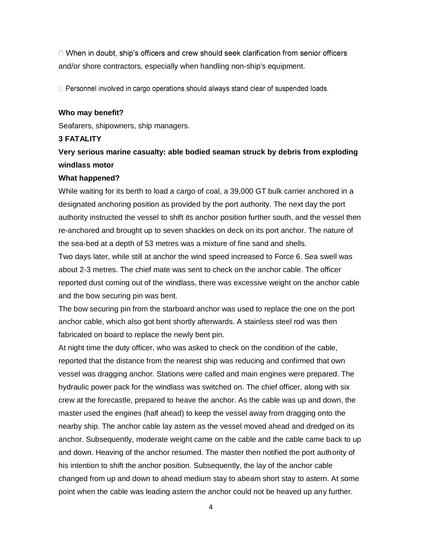□ When in doubt, ship's officers and crew should seek clarification from senior officers and/or shore contractors, especially when handling non-ship's equipment.

□ Personnel involved in cargo operations should always stand clear of suspended loads.

## **Who may benefit?**

Seafarers, shipowners, ship managers.

## **3 FATALITY**

# **Very serious marine casualty: able bodied seaman struck by debris from exploding windlass motor**

## **What happened?**

While waiting for its berth to load a cargo of coal, a 39,000 GT bulk carrier anchored in a designated anchoring position as provided by the port authority. The next day the port authority instructed the vessel to shift its anchor position further south, and the vessel then re-anchored and brought up to seven shackles on deck on its port anchor. The nature of the sea-bed at a depth of 53 metres was a mixture of fine sand and shells.

Two days later, while still at anchor the wind speed increased to Force 6. Sea swell was about 2-3 metres. The chief mate was sent to check on the anchor cable. The officer reported dust coming out of the windlass, there was excessive weight on the anchor cable and the bow securing pin was bent.

The bow securing pin from the starboard anchor was used to replace the one on the port anchor cable, which also got bent shortly afterwards. A stainless steel rod was then fabricated on board to replace the newly bent pin.

At night time the duty officer, who was asked to check on the condition of the cable, reported that the distance from the nearest ship was reducing and confirmed that own vessel was dragging anchor. Stations were called and main engines were prepared. The hydraulic power pack for the windlass was switched on. The chief officer, along with six crew at the forecastle, prepared to heave the anchor. As the cable was up and down, the master used the engines (half ahead) to keep the vessel away from dragging onto the nearby ship. The anchor cable lay astern as the vessel moved ahead and dredged on its anchor. Subsequently, moderate weight came on the cable and the cable came back to up and down. Heaving of the anchor resumed. The master then notified the port authority of his intention to shift the anchor position. Subsequently, the lay of the anchor cable changed from up and down to ahead medium stay to abeam short stay to astern. At some point when the cable was leading astern the anchor could not be heaved up any further.

4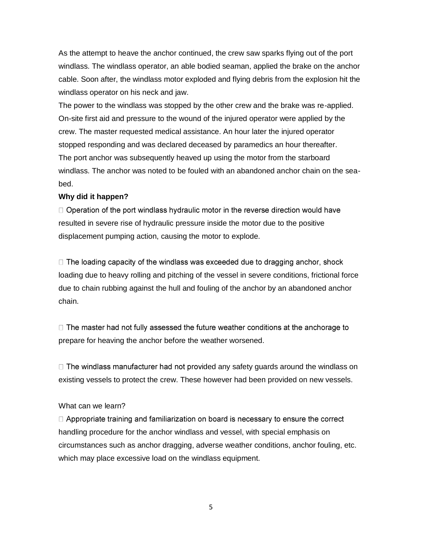As the attempt to heave the anchor continued, the crew saw sparks flying out of the port windlass. The windlass operator, an able bodied seaman, applied the brake on the anchor cable. Soon after, the windlass motor exploded and flying debris from the explosion hit the windlass operator on his neck and jaw.

The power to the windlass was stopped by the other crew and the brake was re-applied. On-site first aid and pressure to the wound of the injured operator were applied by the crew. The master requested medical assistance. An hour later the injured operator stopped responding and was declared deceased by paramedics an hour thereafter. The port anchor was subsequently heaved up using the motor from the starboard windlass. The anchor was noted to be fouled with an abandoned anchor chain on the seabed.

# **Why did it happen?**

 $\Box$  Operation of the port windlass hydraulic motor in the reverse direction would have resulted in severe rise of hydraulic pressure inside the motor due to the positive displacement pumping action, causing the motor to explode.

 $\Box$  The loading capacity of the windlass was exceeded due to dragging anchor, shock loading due to heavy rolling and pitching of the vessel in severe conditions, frictional force due to chain rubbing against the hull and fouling of the anchor by an abandoned anchor chain.

 $\Box$  The master had not fully assessed the future weather conditions at the anchorage to prepare for heaving the anchor before the weather worsened.

 $\Box$  The windlass manufacturer had not provided any safety guards around the windlass on existing vessels to protect the crew. These however had been provided on new vessels.

### What can we learn?

 $\Box$  Appropriate training and familiarization on board is necessary to ensure the correct handling procedure for the anchor windlass and vessel, with special emphasis on circumstances such as anchor dragging, adverse weather conditions, anchor fouling, etc. which may place excessive load on the windlass equipment.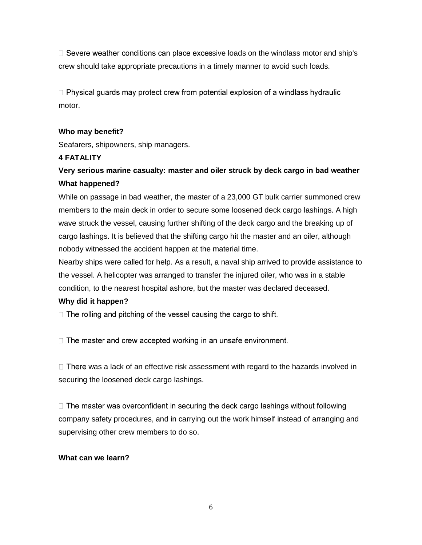$\Box$  Severe weather conditions can place excessive loads on the windlass motor and ship's crew should take appropriate precautions in a timely manner to avoid such loads.

 $\Box$  Physical guards may protect crew from potential explosion of a windlass hydraulic motor.

# **Who may benefit?**

Seafarers, shipowners, ship managers.

# **4 FATALITY**

# **Very serious marine casualty: master and oiler struck by deck cargo in bad weather What happened?**

While on passage in bad weather, the master of a 23,000 GT bulk carrier summoned crew members to the main deck in order to secure some loosened deck cargo lashings. A high wave struck the vessel, causing further shifting of the deck cargo and the breaking up of cargo lashings. It is believed that the shifting cargo hit the master and an oiler, although nobody witnessed the accident happen at the material time.

Nearby ships were called for help. As a result, a naval ship arrived to provide assistance to the vessel. A helicopter was arranged to transfer the injured oiler, who was in a stable condition, to the nearest hospital ashore, but the master was declared deceased.

# **Why did it happen?**

 $\Box$  The rolling and pitching of the vessel causing the cargo to shift.

 $\Box$  The master and crew accepted working in an unsafe environment.

 $\Box$  There was a lack of an effective risk assessment with regard to the hazards involved in securing the loosened deck cargo lashings.

 $\Box$  The master was overconfident in securing the deck cargo lashings without following company safety procedures, and in carrying out the work himself instead of arranging and supervising other crew members to do so.

# **What can we learn?**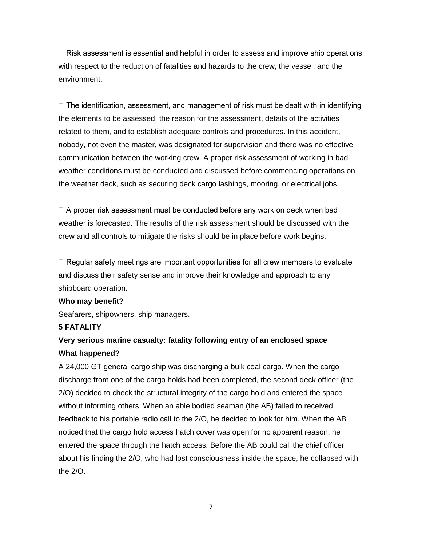$\Box$  Risk assessment is essential and helpful in order to assess and improve ship operations with respect to the reduction of fatalities and hazards to the crew, the vessel, and the environment.

 $\Box$  The identification, assessment, and management of risk must be dealt with in identifying the elements to be assessed, the reason for the assessment, details of the activities related to them, and to establish adequate controls and procedures. In this accident, nobody, not even the master, was designated for supervision and there was no effective communication between the working crew. A proper risk assessment of working in bad weather conditions must be conducted and discussed before commencing operations on the weather deck, such as securing deck cargo lashings, mooring, or electrical jobs.

 $\Box$  A proper risk assessment must be conducted before any work on deck when bad weather is forecasted. The results of the risk assessment should be discussed with the crew and all controls to mitigate the risks should be in place before work begins.

 $\Box$  Regular safety meetings are important opportunities for all crew members to evaluate and discuss their safety sense and improve their knowledge and approach to any shipboard operation.

### **Who may benefit?**

Seafarers, shipowners, ship managers.

# **5 FATALITY**

# **Very serious marine casualty: fatality following entry of an enclosed space What happened?**

A 24,000 GT general cargo ship was discharging a bulk coal cargo. When the cargo discharge from one of the cargo holds had been completed, the second deck officer (the 2/O) decided to check the structural integrity of the cargo hold and entered the space without informing others. When an able bodied seaman (the AB) failed to received feedback to his portable radio call to the 2/O, he decided to look for him. When the AB noticed that the cargo hold access hatch cover was open for no apparent reason, he entered the space through the hatch access. Before the AB could call the chief officer about his finding the 2/O, who had lost consciousness inside the space, he collapsed with the 2/O.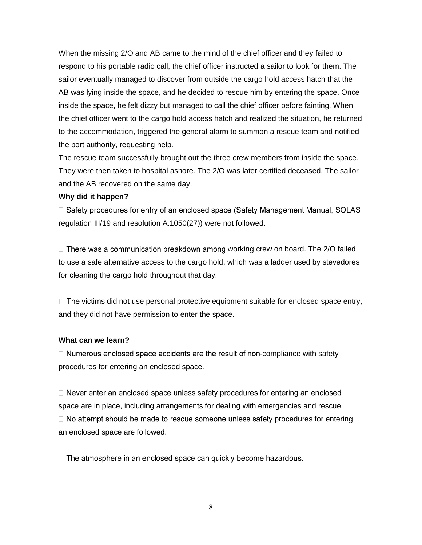When the missing 2/O and AB came to the mind of the chief officer and they failed to respond to his portable radio call, the chief officer instructed a sailor to look for them. The sailor eventually managed to discover from outside the cargo hold access hatch that the AB was lying inside the space, and he decided to rescue him by entering the space. Once inside the space, he felt dizzy but managed to call the chief officer before fainting. When the chief officer went to the cargo hold access hatch and realized the situation, he returned to the accommodation, triggered the general alarm to summon a rescue team and notified the port authority, requesting help.

The rescue team successfully brought out the three crew members from inside the space. They were then taken to hospital ashore. The 2/O was later certified deceased. The sailor and the AB recovered on the same day.

### **Why did it happen?**

□ Safety procedures for entry of an enclosed space (Safety Management Manual, SOLAS regulation III/19 and resolution A.1050(27)) were not followed.

 $\Box$  There was a communication breakdown among working crew on board. The 2/O failed to use a safe alternative access to the cargo hold, which was a ladder used by stevedores for cleaning the cargo hold throughout that day.

 $\Box$  The victims did not use personal protective equipment suitable for enclosed space entry, and they did not have permission to enter the space.

## **What can we learn?**

 $\Box$  Numerous enclosed space accidents are the result of non-compliance with safety procedures for entering an enclosed space.

 $\Box$  Never enter an enclosed space unless safety procedures for entering an enclosed space are in place, including arrangements for dealing with emergencies and rescue.  $\Box$  No attempt should be made to rescue someone unless safety procedures for entering an enclosed space are followed.

 $\Box$  The atmosphere in an enclosed space can quickly become hazardous.

8